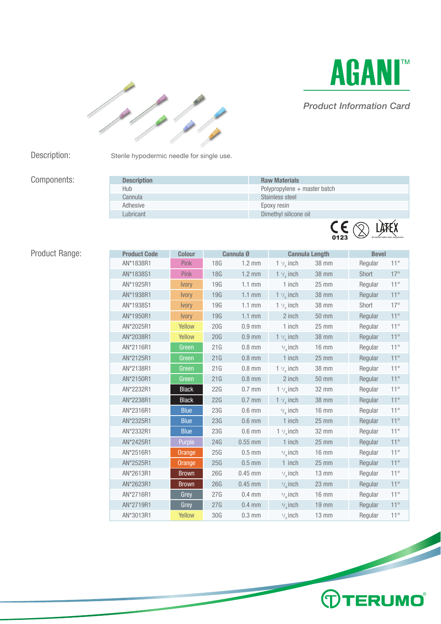



### *Product Information Card*

Description: Sterile hypodermic needle for single use.

## Components:

| <b>Description</b> | <b>Raw Materials</b>            |
|--------------------|---------------------------------|
| <b>Hub</b>         | Polypropylene + master batch    |
| Cannula            | Stainless steel                 |
| Adhesive           | Epoxy resin                     |
| Lubricant          | Dimethyl silicone oil           |
|                    | $\mathsf{C}\xi$ <sub>0123</sub> |

# Product Range:

| <b>Product Code</b> | <b>Colour</b> |     | Cannula 0        |                      | <b>Cannula Length</b> | <b>Bevel</b> |              |
|---------------------|---------------|-----|------------------|----------------------|-----------------------|--------------|--------------|
| AN*1838R1           | <b>Pink</b>   | 18G | $1.2 \text{ mm}$ | $1 \frac{1}{2}$ inch | 38 mm                 | Regular      | $11^{\circ}$ |
| AN*1838S1           | Pink          | 18G | $1.2 \text{ mm}$ | $1 \frac{1}{2}$ inch | <b>38 mm</b>          | Short        | $17^\circ$   |
| AN*1925R1           | <b>Ivory</b>  | 19G | $1.1 \text{ mm}$ | $1$ inch             | 25 mm                 | Regular      | $11^{\circ}$ |
| AN*1938R1           | <b>Ivory</b>  | 19G | $1.1$ mm         | $1 \frac{1}{2}$ inch | <b>38 mm</b>          | Regular      | $11^{\circ}$ |
| AN*1938S1           | <b>Ivory</b>  | 19G | $1.1$ mm         | $1 \frac{1}{2}$ inch | <b>38 mm</b>          | Short        | $17^\circ$   |
| AN*1950R1           | <b>Ivory</b>  | 19G | $1.1$ mm         | 2 inch               | <b>50 mm</b>          | Regular      | $11^{\circ}$ |
| AN*2025R1           | Yellow        | 20G | $0.9$ mm         | 1 inch               | 25 mm                 | Regular      | $11^{\circ}$ |
| AN*2038R1           | Yellow        | 20G | $0.9$ mm         | $1 \frac{1}{2}$ inch | <b>38 mm</b>          | Regular      | $11^{\circ}$ |
| AN*2116R1           | Green         | 21G | $0.8$ mm         | $5/$ inch            | <b>16 mm</b>          | Regular      | $11^{\circ}$ |
| AN*2125R1           | Green         | 21G | $0.8$ mm         | 1 inch               | $25 \text{ mm}$       | Regular      | $11^{\circ}$ |
| AN*2138R1           | Green         | 21G | $0.8$ mm         | $1 \frac{1}{2}$ inch | <b>38 mm</b>          | Regular      | $11^{\circ}$ |
| AN*2150R1           | Green         | 21G | $0.8$ mm         | 2 inch               | <b>50 mm</b>          | Regular      | $11^{\circ}$ |
| AN*2232R1           | <b>Black</b>  | 22G | $0.7$ mm         | 1 $\frac{1}{4}$ inch | 32 mm                 | Regular      | $11^{\circ}$ |
| AN*2238R1           | <b>Black</b>  | 22G | $0.7$ mm         | $1 \frac{1}{2}$ inch | <b>38 mm</b>          | Regular      | $11^{\circ}$ |
| AN*2316R1           | <b>Blue</b>   | 23G | $0.6$ mm         | $5/2$ inch           | <b>16 mm</b>          | Regular      | $11^{\circ}$ |
| AN*2325R1           | <b>Blue</b>   | 23G | $0.6$ mm         | 1 inch               | $25$ mm               | Regular      | $11^{\circ}$ |
| AN*2332R1           | <b>Blue</b>   | 23G | $0.6$ mm         | $1 \frac{1}{4}$ inch | 32 mm                 | Regular      | $11^{\circ}$ |
| AN*2425R1           | Purple        | 24G | $0.55$ mm        | 1 inch               | 25 mm                 | Regular      | $11^{\circ}$ |
| AN*2516R1           | Orange        | 25G | $0.5$ mm         | $5/6$ inch           | <b>16 mm</b>          | Regular      | $11^{\circ}$ |
| AN*2525R1           | Orange        | 25G | $0.5$ mm         | $1$ inch             | $25 \text{ mm}$       | Regular      | $11^{\circ}$ |
| AN*2613R1           | <b>Brown</b>  | 26G | $0.45$ mm        | $\frac{1}{2}$ inch   | $13 \, \text{mm}$     | Regular      | $11^{\circ}$ |
| AN*2623R1           | <b>Brown</b>  | 26G | $0.45$ mm        | $\frac{7}{8}$ inch   | $23$ mm               | Regular      | $11^{\circ}$ |
| AN*2716R1           | Grey          | 27G | $0.4$ mm         | $5/$ inch            | <b>16 mm</b>          | Regular      | $11^{\circ}$ |
| AN*2719R1           | Grey          | 27G | $0.4$ mm         | $\frac{3}{4}$ inch   | <b>19 mm</b>          | Regular      | $11^{\circ}$ |
| AN*3013R1           | Yellow        | 30G | $0.3$ mm         | $\frac{1}{2}$ inch   | $13 \text{ mm}$       | Regular      | $11^{\circ}$ |